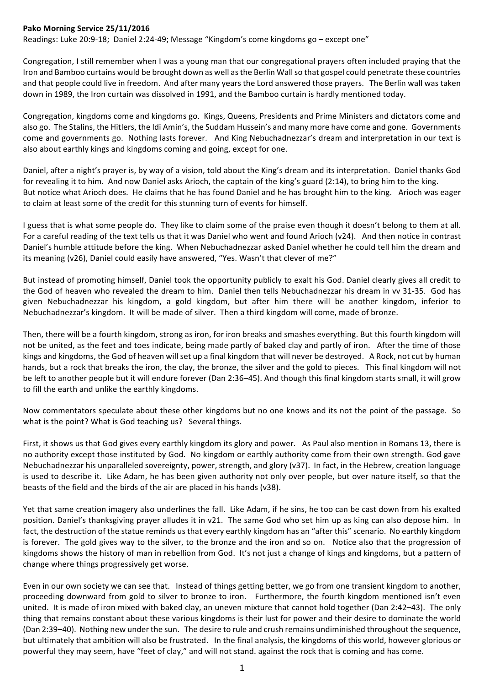## Pako Morning Service 25/11/2016

Readings: Luke 20:9-18; Daniel 2:24-49; Message "Kingdom's come kingdoms go - except one"

Congregation, I still remember when I was a young man that our congregational prayers often included praying that the Iron and Bamboo curtains would be brought down as well as the Berlin Wall so that gospel could penetrate these countries and that people could live in freedom. And after many years the Lord answered those prayers. The Berlin wall was taken down in 1989, the Iron curtain was dissolved in 1991, and the Bamboo curtain is hardly mentioned today.

Congregation, kingdoms come and kingdoms go. Kings, Queens, Presidents and Prime Ministers and dictators come and also go. The Stalins, the Hitlers, the Idi Amin's, the Suddam Hussein's and many more have come and gone. Governments come and governments go. Nothing lasts forever. And King Nebuchadnezzar's dream and interpretation in our text is also about earthly kings and kingdoms coming and going, except for one.

Daniel, after a night's prayer is, by way of a vision, told about the King's dream and its interpretation. Daniel thanks God for revealing it to him. And now Daniel asks Arioch, the captain of the king's guard  $(2:14)$ , to bring him to the king. But notice what Arioch does. He claims that he has found Daniel and he has brought him to the king. Arioch was eager to claim at least some of the credit for this stunning turn of events for himself.

I guess that is what some people do. They like to claim some of the praise even though it doesn't belong to them at all. For a careful reading of the text tells us that it was Daniel who went and found Arioch (v24). And then notice in contrast Daniel's humble attitude before the king. When Nebuchadnezzar asked Daniel whether he could tell him the dream and its meaning (v26), Daniel could easily have answered, "Yes. Wasn't that clever of me?"

But instead of promoting himself, Daniel took the opportunity publicly to exalt his God. Daniel clearly gives all credit to the God of heaven who revealed the dream to him. Daniel then tells Nebuchadnezzar his dream in vy 31-35. God has given Nebuchadnezzar his kingdom, a gold kingdom, but after him there will be another kingdom, inferior to Nebuchadnezzar's kingdom. It will be made of silver. Then a third kingdom will come, made of bronze.

Then, there will be a fourth kingdom, strong as iron, for iron breaks and smashes everything. But this fourth kingdom will not be united, as the feet and toes indicate, being made partly of baked clay and partly of iron. After the time of those kings and kingdoms, the God of heaven will set up a final kingdom that will never be destroyed. A Rock, not cut by human hands, but a rock that breaks the iron, the clay, the bronze, the silver and the gold to pieces. This final kingdom will not be left to another people but it will endure forever (Dan 2:36–45). And though this final kingdom starts small, it will grow to fill the earth and unlike the earthly kingdoms.

Now commentators speculate about these other kingdoms but no one knows and its not the point of the passage. So what is the point? What is God teaching us? Several things.

First, it shows us that God gives every earthly kingdom its glory and power. As Paul also mention in Romans 13, there is no authority except those instituted by God. No kingdom or earthly authority come from their own strength. God gave Nebuchadnezzar his unparalleled sovereignty, power, strength, and glory (v37). In fact, in the Hebrew, creation language is used to describe it. Like Adam, he has been given authority not only over people, but over nature itself, so that the beasts of the field and the birds of the air are placed in his hands (v38).

Yet that same creation imagery also underlines the fall. Like Adam, if he sins, he too can be cast down from his exalted position. Daniel's thanksgiving prayer alludes it in v21. The same God who set him up as king can also depose him. In fact, the destruction of the statue reminds us that every earthly kingdom has an "after this" scenario. No earthly kingdom is forever. The gold gives way to the silver, to the bronze and the iron and so on. Notice also that the progression of kingdoms shows the history of man in rebellion from God. It's not just a change of kings and kingdoms, but a pattern of change where things progressively get worse.

Even in our own society we can see that. Instead of things getting better, we go from one transient kingdom to another, proceeding downward from gold to silver to bronze to iron. Furthermore, the fourth kingdom mentioned isn't even united. It is made of iron mixed with baked clay, an uneven mixture that cannot hold together (Dan 2:42–43). The only thing that remains constant about these various kingdoms is their lust for power and their desire to dominate the world (Dan 2:39–40). Nothing new under the sun. The desire to rule and crush remains undiminished throughout the sequence, but ultimately that ambition will also be frustrated. In the final analysis, the kingdoms of this world, however glorious or powerful they may seem, have "feet of clay," and will not stand. against the rock that is coming and has come.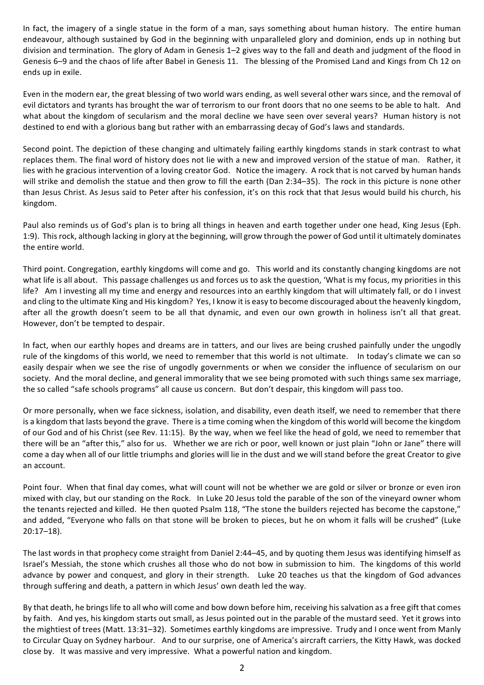In fact, the imagery of a single statue in the form of a man, says something about human history. The entire human endeavour, although sustained by God in the beginning with unparalleled glory and dominion, ends up in nothing but division and termination. The glory of Adam in Genesis 1–2 gives way to the fall and death and judgment of the flood in Genesis 6-9 and the chaos of life after Babel in Genesis 11. The blessing of the Promised Land and Kings from Ch 12 on ends up in exile.

Even in the modern ear, the great blessing of two world wars ending, as well several other wars since, and the removal of evil dictators and tyrants has brought the war of terrorism to our front doors that no one seems to be able to halt. And what about the kingdom of secularism and the moral decline we have seen over several years? Human history is not destined to end with a glorious bang but rather with an embarrassing decay of God's laws and standards.

Second point. The depiction of these changing and ultimately failing earthly kingdoms stands in stark contrast to what replaces them. The final word of history does not lie with a new and improved version of the statue of man. Rather, it lies with he gracious intervention of a loving creator God. Notice the imagery. A rock that is not carved by human hands will strike and demolish the statue and then grow to fill the earth (Dan 2:34–35). The rock in this picture is none other than Jesus Christ. As Jesus said to Peter after his confession, it's on this rock that that Jesus would build his church, his kingdom. 

Paul also reminds us of God's plan is to bring all things in heaven and earth together under one head, King Jesus (Eph. 1:9). This rock, although lacking in glory at the beginning, will grow through the power of God until it ultimately dominates the entire world.

Third point. Congregation, earthly kingdoms will come and go. This world and its constantly changing kingdoms are not what life is all about. This passage challenges us and forces us to ask the question, 'What is my focus, my priorities in this life? Am I investing all my time and energy and resources into an earthly kingdom that will ultimately fall, or do I invest and cling to the ultimate King and His kingdom? Yes, I know it is easy to become discouraged about the heavenly kingdom, after all the growth doesn't seem to be all that dynamic, and even our own growth in holiness isn't all that great. However, don't be tempted to despair.

In fact, when our earthly hopes and dreams are in tatters, and our lives are being crushed painfully under the ungodly rule of the kingdoms of this world, we need to remember that this world is not ultimate. In today's climate we can so easily despair when we see the rise of ungodly governments or when we consider the influence of secularism on our society. And the moral decline, and general immorality that we see being promoted with such things same sex marriage, the so called "safe schools programs" all cause us concern. But don't despair, this kingdom will pass too.

Or more personally, when we face sickness, isolation, and disability, even death itself, we need to remember that there is a kingdom that lasts beyond the grave. There is a time coming when the kingdom of this world will become the kingdom of our God and of his Christ (see Rev. 11:15). By the way, when we feel like the head of gold, we need to remember that there will be an "after this," also for us. Whether we are rich or poor, well known or just plain "John or Jane" there will come a day when all of our little triumphs and glories will lie in the dust and we will stand before the great Creator to give an account.

Point four. When that final day comes, what will count will not be whether we are gold or silver or bronze or even iron mixed with clay, but our standing on the Rock. In Luke 20 Jesus told the parable of the son of the vineyard owner whom the tenants rejected and killed. He then quoted Psalm 118, "The stone the builders rejected has become the capstone," and added, "Everyone who falls on that stone will be broken to pieces, but he on whom it falls will be crushed" (Luke 20:17–18). 

The last words in that prophecy come straight from Daniel 2:44–45, and by quoting them Jesus was identifying himself as Israel's Messiah, the stone which crushes all those who do not bow in submission to him. The kingdoms of this world advance by power and conquest, and glory in their strength. Luke 20 teaches us that the kingdom of God advances through suffering and death, a pattern in which Jesus' own death led the way.

By that death, he brings life to all who will come and bow down before him, receiving his salvation as a free gift that comes by faith. And yes, his kingdom starts out small, as Jesus pointed out in the parable of the mustard seed. Yet it grows into the mightiest of trees (Matt. 13:31–32). Sometimes earthly kingdoms are impressive. Trudy and I once went from Manly to Circular Quay on Sydney harbour. And to our surprise, one of America's aircraft carriers, the Kitty Hawk, was docked close by. It was massive and very impressive. What a powerful nation and kingdom.